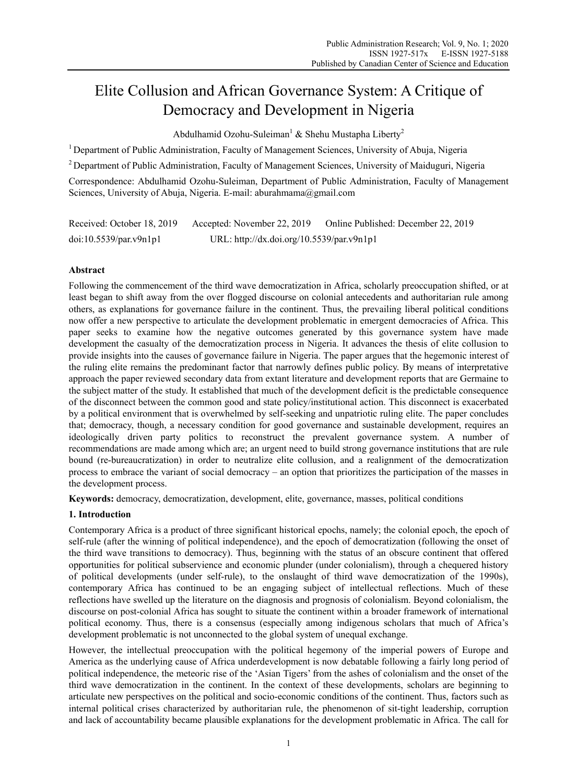# Elite Collusion and African Governance System: A Critique of Democracy and Development in Nigeria

Abdulhamid Ozohu-Suleiman<sup>1</sup> & Shehu Mustapha Liberty<sup>2</sup>

<sup>1</sup> Department of Public Administration, Faculty of Management Sciences, University of Abuja, Nigeria

2 Department of Public Administration, Faculty of Management Sciences, University of Maiduguri, Nigeria

Correspondence: Abdulhamid Ozohu-Suleiman, Department of Public Administration, Faculty of Management Sciences, University of Abuja, Nigeria. E-mail: aburahmama@gmail.com

| Received: October 18, 2019 | Accepted: November 22, 2019               | Online Published: December 22, 2019 |
|----------------------------|-------------------------------------------|-------------------------------------|
| doi:10.5539/par.v9n1p1     | URL: http://dx.doi.org/10.5539/par.v9n1p1 |                                     |

# **Abstract**

Following the commencement of the third wave democratization in Africa, scholarly preoccupation shifted, or at least began to shift away from the over flogged discourse on colonial antecedents and authoritarian rule among others, as explanations for governance failure in the continent. Thus, the prevailing liberal political conditions now offer a new perspective to articulate the development problematic in emergent democracies of Africa. This paper seeks to examine how the negative outcomes generated by this governance system have made development the casualty of the democratization process in Nigeria. It advances the thesis of elite collusion to provide insights into the causes of governance failure in Nigeria. The paper argues that the hegemonic interest of the ruling elite remains the predominant factor that narrowly defines public policy. By means of interpretative approach the paper reviewed secondary data from extant literature and development reports that are Germaine to the subject matter of the study. It established that much of the development deficit is the predictable consequence of the disconnect between the common good and state policy/institutional action. This disconnect is exacerbated by a political environment that is overwhelmed by self-seeking and unpatriotic ruling elite. The paper concludes that; democracy, though, a necessary condition for good governance and sustainable development, requires an ideologically driven party politics to reconstruct the prevalent governance system. A number of recommendations are made among which are; an urgent need to build strong governance institutions that are rule bound (re-bureaucratization) in order to neutralize elite collusion, and a realignment of the democratization process to embrace the variant of social democracy – an option that prioritizes the participation of the masses in the development process.

**Keywords:** democracy, democratization, development, elite, governance, masses, political conditions

## **1. Introduction**

Contemporary Africa is a product of three significant historical epochs, namely; the colonial epoch, the epoch of self-rule (after the winning of political independence), and the epoch of democratization (following the onset of the third wave transitions to democracy). Thus, beginning with the status of an obscure continent that offered opportunities for political subservience and economic plunder (under colonialism), through a chequered history of political developments (under self-rule), to the onslaught of third wave democratization of the 1990s), contemporary Africa has continued to be an engaging subject of intellectual reflections. Much of these reflections have swelled up the literature on the diagnosis and prognosis of colonialism. Beyond colonialism, the discourse on post-colonial Africa has sought to situate the continent within a broader framework of international political economy. Thus, there is a consensus (especially among indigenous scholars that much of Africa's development problematic is not unconnected to the global system of unequal exchange.

However, the intellectual preoccupation with the political hegemony of the imperial powers of Europe and America as the underlying cause of Africa underdevelopment is now debatable following a fairly long period of political independence, the meteoric rise of the 'Asian Tigers' from the ashes of colonialism and the onset of the third wave democratization in the continent. In the context of these developments, scholars are beginning to articulate new perspectives on the political and socio-economic conditions of the continent. Thus, factors such as internal political crises characterized by authoritarian rule, the phenomenon of sit-tight leadership, corruption and lack of accountability became plausible explanations for the development problematic in Africa. The call for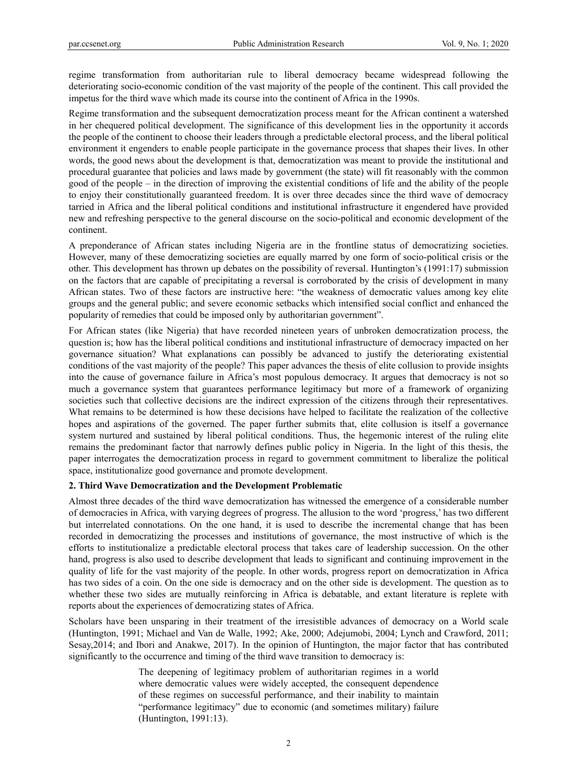regime transformation from authoritarian rule to liberal democracy became widespread following the deteriorating socio-economic condition of the vast majority of the people of the continent. This call provided the impetus for the third wave which made its course into the continent of Africa in the 1990s.

Regime transformation and the subsequent democratization process meant for the African continent a watershed in her chequered political development. The significance of this development lies in the opportunity it accords the people of the continent to choose their leaders through a predictable electoral process, and the liberal political environment it engenders to enable people participate in the governance process that shapes their lives. In other words, the good news about the development is that, democratization was meant to provide the institutional and procedural guarantee that policies and laws made by government (the state) will fit reasonably with the common good of the people – in the direction of improving the existential conditions of life and the ability of the people to enjoy their constitutionally guaranteed freedom. It is over three decades since the third wave of democracy tarried in Africa and the liberal political conditions and institutional infrastructure it engendered have provided new and refreshing perspective to the general discourse on the socio-political and economic development of the continent.

A preponderance of African states including Nigeria are in the frontline status of democratizing societies. However, many of these democratizing societies are equally marred by one form of socio-political crisis or the other. This development has thrown up debates on the possibility of reversal. Huntington's (1991:17) submission on the factors that are capable of precipitating a reversal is corroborated by the crisis of development in many African states. Two of these factors are instructive here: "the weakness of democratic values among key elite groups and the general public; and severe economic setbacks which intensified social conflict and enhanced the popularity of remedies that could be imposed only by authoritarian government".

For African states (like Nigeria) that have recorded nineteen years of unbroken democratization process, the question is; how has the liberal political conditions and institutional infrastructure of democracy impacted on her governance situation? What explanations can possibly be advanced to justify the deteriorating existential conditions of the vast majority of the people? This paper advances the thesis of elite collusion to provide insights into the cause of governance failure in Africa's most populous democracy. It argues that democracy is not so much a governance system that guarantees performance legitimacy but more of a framework of organizing societies such that collective decisions are the indirect expression of the citizens through their representatives. What remains to be determined is how these decisions have helped to facilitate the realization of the collective hopes and aspirations of the governed. The paper further submits that, elite collusion is itself a governance system nurtured and sustained by liberal political conditions. Thus, the hegemonic interest of the ruling elite remains the predominant factor that narrowly defines public policy in Nigeria. In the light of this thesis, the paper interrogates the democratization process in regard to government commitment to liberalize the political space, institutionalize good governance and promote development.

# **2. Third Wave Democratization and the Development Problematic**

Almost three decades of the third wave democratization has witnessed the emergence of a considerable number of democracies in Africa, with varying degrees of progress. The allusion to the word 'progress,' has two different but interrelated connotations. On the one hand, it is used to describe the incremental change that has been recorded in democratizing the processes and institutions of governance, the most instructive of which is the efforts to institutionalize a predictable electoral process that takes care of leadership succession. On the other hand, progress is also used to describe development that leads to significant and continuing improvement in the quality of life for the vast majority of the people. In other words, progress report on democratization in Africa has two sides of a coin. On the one side is democracy and on the other side is development. The question as to whether these two sides are mutually reinforcing in Africa is debatable, and extant literature is replete with reports about the experiences of democratizing states of Africa.

Scholars have been unsparing in their treatment of the irresistible advances of democracy on a World scale (Huntington, 1991; Michael and Van de Walle, 1992; Ake, 2000; Adejumobi, 2004; Lynch and Crawford, 2011; Sesay,2014; and Ibori and Anakwe, 2017). In the opinion of Huntington, the major factor that has contributed significantly to the occurrence and timing of the third wave transition to democracy is:

> The deepening of legitimacy problem of authoritarian regimes in a world where democratic values were widely accepted, the consequent dependence of these regimes on successful performance, and their inability to maintain "performance legitimacy" due to economic (and sometimes military) failure (Huntington, 1991:13).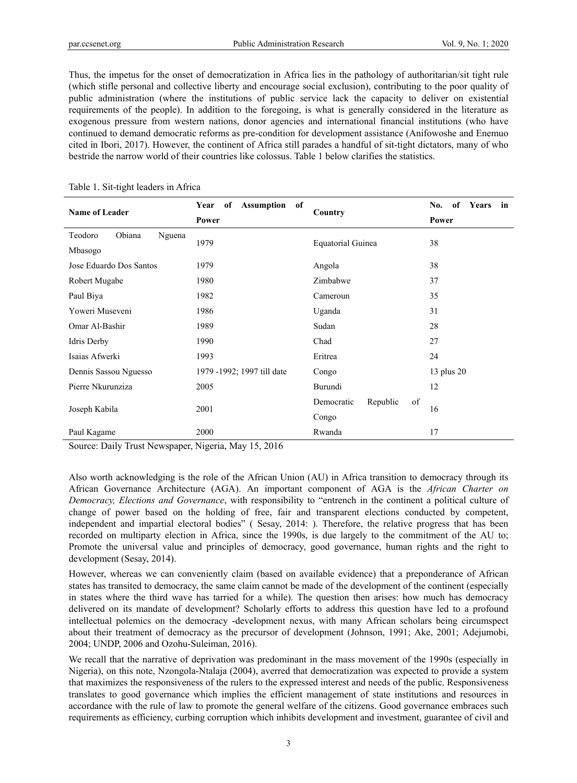Thus, the impetus for the onset of democratization in Africa lies in the pathology of authoritarian/sit tight rule (which stifle personal and collective liberty and encourage social exclusion), contributing to the poor quality of public administration (where the institutions of public service lack the capacity to deliver on existential requirements of the people). In addition to the foregoing, is what is generally considered in the literature as exogenous pressure from western nations, donor agencies and international financial institutions (who have continued to demand democratic reforms as pre-condition for development assistance (Anifowoshe and Enemuo cited in Ibori, 2017). However, the continent of Africa still parades a handful of sit-tight dictators, many of who bestride the narrow world of their countries like colossus. Table 1 below clarifies the statistics.

| Year<br>of<br>Assumption of |                              | No.<br>of<br>Years<br>in            |  |
|-----------------------------|------------------------------|-------------------------------------|--|
| Power                       |                              | Power                               |  |
|                             |                              |                                     |  |
|                             |                              | 38                                  |  |
| 1979                        | Angola                       | 38                                  |  |
| 1980                        | Zimbabwe                     | 37                                  |  |
| 1982                        | Cameroun                     | 35                                  |  |
| 1986                        | Uganda                       | 31                                  |  |
| 1989                        | Sudan                        | 28                                  |  |
| 1990                        | Chad                         | 27                                  |  |
| 1993                        | Eritrea                      | 24                                  |  |
| 1979 -1992; 1997 till date  | Congo                        | 13 plus 20                          |  |
| 2005                        | Burundi                      | 12                                  |  |
|                             | of<br>Democratic<br>Republic |                                     |  |
|                             | Congo                        | 16                                  |  |
| 2000                        | Rwanda                       | 17                                  |  |
|                             | 1979<br>2001<br>----         | Country<br><b>Equatorial Guinea</b> |  |

#### Table 1. Sit-tight leaders in Africa

Source: Daily Trust Newspaper, Nigeria, May 15, 2016

Also worth acknowledging is the role of the African Union (AU) in Africa transition to democracy through its African Governance Architecture (AGA). An important component of AGA is the *African Charter on Democracy, Elections and Governance*, with responsibility to "entrench in the continent a political culture of change of power based on the holding of free, fair and transparent elections conducted by competent, independent and impartial electoral bodies" ( Sesay, 2014: ). Therefore, the relative progress that has been recorded on multiparty election in Africa, since the 1990s, is due largely to the commitment of the AU to; Promote the universal value and principles of democracy, good governance, human rights and the right to development (Sesay, 2014).

However, whereas we can conveniently claim (based on available evidence) that a preponderance of African states has transited to democracy, the same claim cannot be made of the development of the continent (especially in states where the third wave has tarried for a while). The question then arises: how much has democracy delivered on its mandate of development? Scholarly efforts to address this question have led to a profound intellectual polemics on the democracy -development nexus, with many African scholars being circumspect about their treatment of democracy as the precursor of development (Johnson, 1991; Ake, 2001; Adejumobi, 2004; UNDP, 2006 and Ozohu-Suleiman, 2016).

We recall that the narrative of deprivation was predominant in the mass movement of the 1990s (especially in Nigeria), on this note, Nzongola-Ntalaja (2004), averred that democratization was expected to provide a system that maximizes the responsiveness of the rulers to the expressed interest and needs of the public. Responsiveness translates to good governance which implies the efficient management of state institutions and resources in accordance with the rule of law to promote the general welfare of the citizens. Good governance embraces such requirements as efficiency, curbing corruption which inhibits development and investment, guarantee of civil and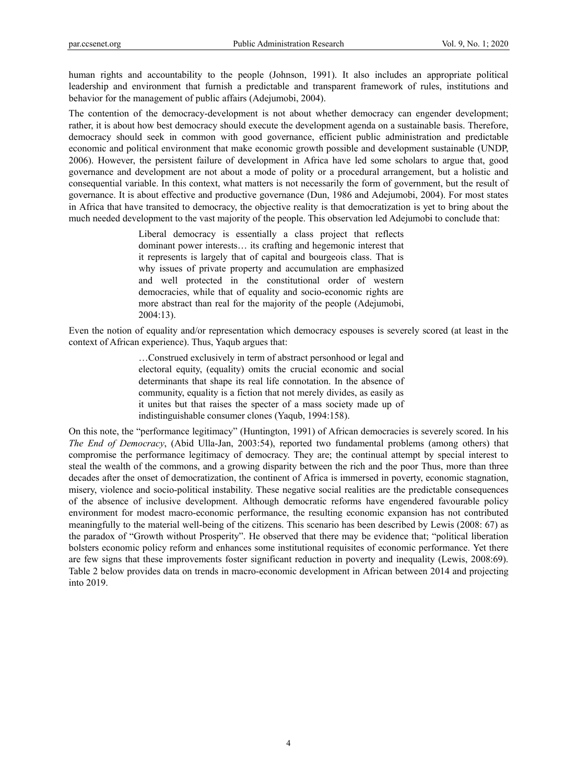human rights and accountability to the people (Johnson, 1991). It also includes an appropriate political leadership and environment that furnish a predictable and transparent framework of rules, institutions and behavior for the management of public affairs (Adejumobi, 2004).

The contention of the democracy-development is not about whether democracy can engender development; rather, it is about how best democracy should execute the development agenda on a sustainable basis. Therefore, democracy should seek in common with good governance, efficient public administration and predictable economic and political environment that make economic growth possible and development sustainable (UNDP, 2006). However, the persistent failure of development in Africa have led some scholars to argue that, good governance and development are not about a mode of polity or a procedural arrangement, but a holistic and consequential variable. In this context, what matters is not necessarily the form of government, but the result of governance. It is about effective and productive governance (Dun, 1986 and Adejumobi, 2004). For most states in Africa that have transited to democracy, the objective reality is that democratization is yet to bring about the much needed development to the vast majority of the people. This observation led Adejumobi to conclude that:

> Liberal democracy is essentially a class project that reflects dominant power interests… its crafting and hegemonic interest that it represents is largely that of capital and bourgeois class. That is why issues of private property and accumulation are emphasized and well protected in the constitutional order of western democracies, while that of equality and socio-economic rights are more abstract than real for the majority of the people (Adejumobi, 2004:13).

Even the notion of equality and/or representation which democracy espouses is severely scored (at least in the context of African experience). Thus, Yaqub argues that:

> …Construed exclusively in term of abstract personhood or legal and electoral equity, (equality) omits the crucial economic and social determinants that shape its real life connotation. In the absence of community, equality is a fiction that not merely divides, as easily as it unites but that raises the specter of a mass society made up of indistinguishable consumer clones (Yaqub, 1994:158).

On this note, the "performance legitimacy" (Huntington, 1991) of African democracies is severely scored. In his *The End of Democracy*, (Abid Ulla-Jan, 2003:54), reported two fundamental problems (among others) that compromise the performance legitimacy of democracy. They are; the continual attempt by special interest to steal the wealth of the commons, and a growing disparity between the rich and the poor Thus, more than three decades after the onset of democratization, the continent of Africa is immersed in poverty, economic stagnation, misery, violence and socio-political instability. These negative social realities are the predictable consequences of the absence of inclusive development. Although democratic reforms have engendered favourable policy environment for modest macro-economic performance, the resulting economic expansion has not contributed meaningfully to the material well-being of the citizens. This scenario has been described by Lewis (2008: 67) as the paradox of "Growth without Prosperity". He observed that there may be evidence that; "political liberation bolsters economic policy reform and enhances some institutional requisites of economic performance. Yet there are few signs that these improvements foster significant reduction in poverty and inequality (Lewis, 2008:69). Table 2 below provides data on trends in macro-economic development in African between 2014 and projecting into 2019.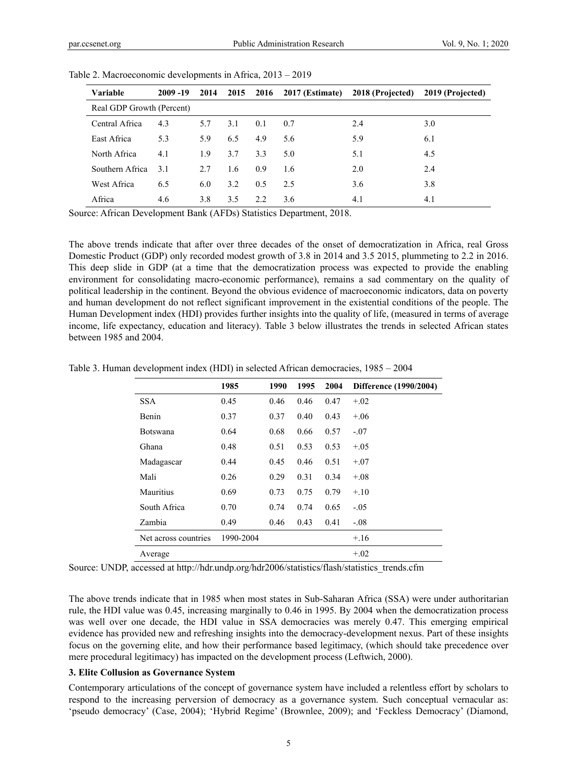| Variable                  | $2009 - 19$ | 2014 |     |     |     | 2015 2016 2017 (Estimate) 2018 (Projected) 2019 (Projected) |     |
|---------------------------|-------------|------|-----|-----|-----|-------------------------------------------------------------|-----|
| Real GDP Growth (Percent) |             |      |     |     |     |                                                             |     |
| Central Africa            | 4.3         | 5.7  | 3.1 | 0.1 | 0.7 | 2.4                                                         | 3.0 |
| East Africa               | 5.3         | 5.9  | 6.5 | 4.9 | 5.6 | 5.9                                                         | 6.1 |
| North Africa              | 4.1         | 1.9  | 3.7 | 3.3 | 5.0 | 5.1                                                         | 4.5 |
| Southern Africa           | 3.1         | 2.7  | 1.6 | 0.9 | 1.6 | 2.0                                                         | 2.4 |
| West Africa               | 6.5         | 6.0  | 3.2 | 0.5 | 2.5 | 3.6                                                         | 3.8 |
| Africa                    | 4.6         | 3.8  | 3.5 | 2.2 | 3.6 | 4.1                                                         | 4.1 |

Table 2. Macroeconomic developments in Africa, 2013 – 2019

Source: African Development Bank (AFDs) Statistics Department, 2018.

The above trends indicate that after over three decades of the onset of democratization in Africa, real Gross Domestic Product (GDP) only recorded modest growth of 3.8 in 2014 and 3.5 2015, plummeting to 2.2 in 2016. This deep slide in GDP (at a time that the democratization process was expected to provide the enabling environment for consolidating macro-economic performance), remains a sad commentary on the quality of political leadership in the continent. Beyond the obvious evidence of macroeconomic indicators, data on poverty and human development do not reflect significant improvement in the existential conditions of the people. The Human Development index (HDI) provides further insights into the quality of life, (measured in terms of average income, life expectancy, education and literacy). Table 3 below illustrates the trends in selected African states between 1985 and 2004.

|                      | 1985      | 1990 | 1995 | 2004 | Difference (1990/2004) |
|----------------------|-----------|------|------|------|------------------------|
| <b>SSA</b>           | 0.45      | 0.46 | 0.46 | 0.47 | $+.02$                 |
| <b>Benin</b>         | 0.37      | 0.37 | 0.40 | 0.43 | $+.06$                 |
| <b>Botswana</b>      | 0.64      | 0.68 | 0.66 | 0.57 | $-.07$                 |
| Ghana                | 0.48      | 0.51 | 0.53 | 0.53 | $+.05$                 |
| Madagascar           | 0.44      | 0.45 | 0.46 | 0.51 | $+.07$                 |
| Mali                 | 0.26      | 0.29 | 0.31 | 0.34 | $+.08$                 |
| Mauritius            | 0.69      | 0.73 | 0.75 | 0.79 | $+.10$                 |
| South Africa         | 0.70      | 0.74 | 0.74 | 0.65 | $-.05$                 |
| Zambia               | 0.49      | 0.46 | 0.43 | 0.41 | $-.08$                 |
| Net across countries | 1990-2004 |      |      |      | $+.16$                 |
| Average              |           |      |      |      | $+.02$                 |

Table 3. Human development index (HDI) in selected African democracies, 1985 – 2004

Source: UNDP, accessed at http://hdr.undp.org/hdr2006/statistics/flash/statistics\_trends.cfm

The above trends indicate that in 1985 when most states in Sub-Saharan Africa (SSA) were under authoritarian rule, the HDI value was 0.45, increasing marginally to 0.46 in 1995. By 2004 when the democratization process was well over one decade, the HDI value in SSA democracies was merely 0.47. This emerging empirical evidence has provided new and refreshing insights into the democracy-development nexus. Part of these insights focus on the governing elite, and how their performance based legitimacy, (which should take precedence over mere procedural legitimacy) has impacted on the development process (Leftwich, 2000).

#### **3. Elite Collusion as Governance System**

Contemporary articulations of the concept of governance system have included a relentless effort by scholars to respond to the increasing perversion of democracy as a governance system. Such conceptual vernacular as: 'pseudo democracy' (Case, 2004); 'Hybrid Regime' (Brownlee, 2009); and 'Feckless Democracy' (Diamond,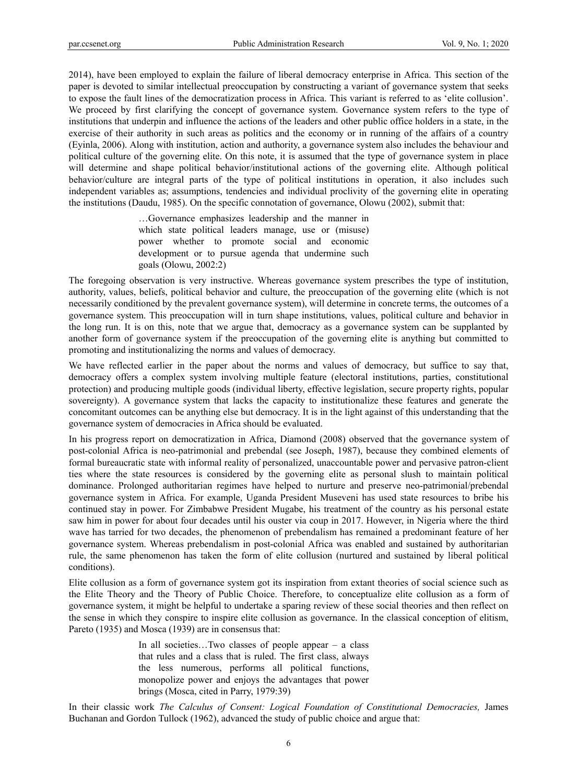2014), have been employed to explain the failure of liberal democracy enterprise in Africa. This section of the paper is devoted to similar intellectual preoccupation by constructing a variant of governance system that seeks to expose the fault lines of the democratization process in Africa. This variant is referred to as 'elite collusion'. We proceed by first clarifying the concept of governance system. Governance system refers to the type of institutions that underpin and influence the actions of the leaders and other public office holders in a state, in the exercise of their authority in such areas as politics and the economy or in running of the affairs of a country (Eyinla, 2006). Along with institution, action and authority, a governance system also includes the behaviour and political culture of the governing elite. On this note, it is assumed that the type of governance system in place will determine and shape political behavior/institutional actions of the governing elite. Although political behavior/culture are integral parts of the type of political institutions in operation, it also includes such independent variables as; assumptions, tendencies and individual proclivity of the governing elite in operating the institutions (Daudu, 1985). On the specific connotation of governance, Olowu (2002), submit that:

> …Governance emphasizes leadership and the manner in which state political leaders manage, use or (misuse) power whether to promote social and economic development or to pursue agenda that undermine such goals (Olowu, 2002:2)

The foregoing observation is very instructive. Whereas governance system prescribes the type of institution, authority, values, beliefs, political behavior and culture, the preoccupation of the governing elite (which is not necessarily conditioned by the prevalent governance system), will determine in concrete terms, the outcomes of a governance system. This preoccupation will in turn shape institutions, values, political culture and behavior in the long run. It is on this, note that we argue that, democracy as a governance system can be supplanted by another form of governance system if the preoccupation of the governing elite is anything but committed to promoting and institutionalizing the norms and values of democracy.

We have reflected earlier in the paper about the norms and values of democracy, but suffice to say that, democracy offers a complex system involving multiple feature (electoral institutions, parties, constitutional protection) and producing multiple goods (individual liberty, effective legislation, secure property rights, popular sovereignty). A governance system that lacks the capacity to institutionalize these features and generate the concomitant outcomes can be anything else but democracy. It is in the light against of this understanding that the governance system of democracies in Africa should be evaluated.

In his progress report on democratization in Africa, Diamond (2008) observed that the governance system of post-colonial Africa is neo-patrimonial and prebendal (see Joseph, 1987), because they combined elements of formal bureaucratic state with informal reality of personalized, unaccountable power and pervasive patron-client ties where the state resources is considered by the governing elite as personal slush to maintain political dominance. Prolonged authoritarian regimes have helped to nurture and preserve neo-patrimonial/prebendal governance system in Africa. For example, Uganda President Museveni has used state resources to bribe his continued stay in power. For Zimbabwe President Mugabe, his treatment of the country as his personal estate saw him in power for about four decades until his ouster via coup in 2017. However, in Nigeria where the third wave has tarried for two decades, the phenomenon of prebendalism has remained a predominant feature of her governance system. Whereas prebendalism in post-colonial Africa was enabled and sustained by authoritarian rule, the same phenomenon has taken the form of elite collusion (nurtured and sustained by liberal political conditions).

Elite collusion as a form of governance system got its inspiration from extant theories of social science such as the Elite Theory and the Theory of Public Choice. Therefore, to conceptualize elite collusion as a form of governance system, it might be helpful to undertake a sparing review of these social theories and then reflect on the sense in which they conspire to inspire elite collusion as governance. In the classical conception of elitism, Pareto (1935) and Mosca (1939) are in consensus that:

> In all societies…Two classes of people appear – a class that rules and a class that is ruled. The first class, always the less numerous, performs all political functions, monopolize power and enjoys the advantages that power brings (Mosca, cited in Parry, 1979:39)

In their classic work *The Calculus of Consent: Logical Foundation of Constitutional Democracies,* James Buchanan and Gordon Tullock (1962), advanced the study of public choice and argue that: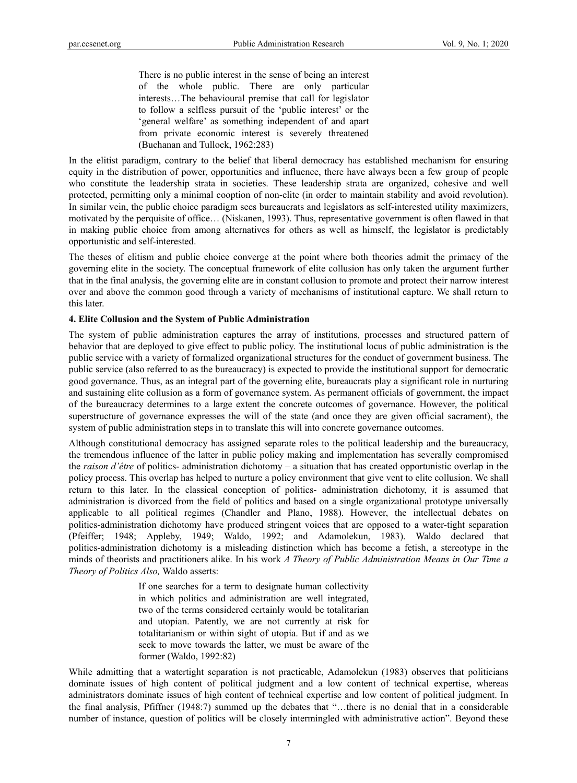There is no public interest in the sense of being an interest of the whole public. There are only particular interests…The behavioural premise that call for legislator to follow a selfless pursuit of the 'public interest' or the 'general welfare' as something independent of and apart from private economic interest is severely threatened (Buchanan and Tullock, 1962:283)

In the elitist paradigm, contrary to the belief that liberal democracy has established mechanism for ensuring equity in the distribution of power, opportunities and influence, there have always been a few group of people who constitute the leadership strata in societies. These leadership strata are organized, cohesive and well protected, permitting only a minimal cooption of non-elite (in order to maintain stability and avoid revolution). In similar vein, the public choice paradigm sees bureaucrats and legislators as self-interested utility maximizers, motivated by the perquisite of office… (Niskanen, 1993). Thus, representative government is often flawed in that in making public choice from among alternatives for others as well as himself, the legislator is predictably opportunistic and self-interested.

The theses of elitism and public choice converge at the point where both theories admit the primacy of the governing elite in the society. The conceptual framework of elite collusion has only taken the argument further that in the final analysis, the governing elite are in constant collusion to promote and protect their narrow interest over and above the common good through a variety of mechanisms of institutional capture. We shall return to this later.

#### **4. Elite Collusion and the System of Public Administration**

The system of public administration captures the array of institutions, processes and structured pattern of behavior that are deployed to give effect to public policy. The institutional locus of public administration is the public service with a variety of formalized organizational structures for the conduct of government business. The public service (also referred to as the bureaucracy) is expected to provide the institutional support for democratic good governance. Thus, as an integral part of the governing elite, bureaucrats play a significant role in nurturing and sustaining elite collusion as a form of governance system. As permanent officials of government, the impact of the bureaucracy determines to a large extent the concrete outcomes of governance. However, the political superstructure of governance expresses the will of the state (and once they are given official sacrament), the system of public administration steps in to translate this will into concrete governance outcomes.

Although constitutional democracy has assigned separate roles to the political leadership and the bureaucracy, the tremendous influence of the latter in public policy making and implementation has severally compromised the *raison d'être* of politics- administration dichotomy – a situation that has created opportunistic overlap in the policy process. This overlap has helped to nurture a policy environment that give vent to elite collusion. We shall return to this later. In the classical conception of politics- administration dichotomy, it is assumed that administration is divorced from the field of politics and based on a single organizational prototype universally applicable to all political regimes (Chandler and Plano, 1988). However, the intellectual debates on politics-administration dichotomy have produced stringent voices that are opposed to a water-tight separation (Pfeiffer; 1948; Appleby, 1949; Waldo, 1992; and Adamolekun, 1983). Waldo declared that politics-administration dichotomy is a misleading distinction which has become a fetish, a stereotype in the minds of theorists and practitioners alike. In his work *A Theory of Public Administration Means in Our Time a Theory of Politics Also,* Waldo asserts:

> If one searches for a term to designate human collectivity in which politics and administration are well integrated, two of the terms considered certainly would be totalitarian and utopian. Patently, we are not currently at risk for totalitarianism or within sight of utopia. But if and as we seek to move towards the latter, we must be aware of the former (Waldo, 1992:82)

While admitting that a watertight separation is not practicable, Adamolekun (1983) observes that politicians dominate issues of high content of political judgment and a low content of technical expertise, whereas administrators dominate issues of high content of technical expertise and low content of political judgment. In the final analysis, Pfiffner (1948:7) summed up the debates that "…there is no denial that in a considerable number of instance, question of politics will be closely intermingled with administrative action". Beyond these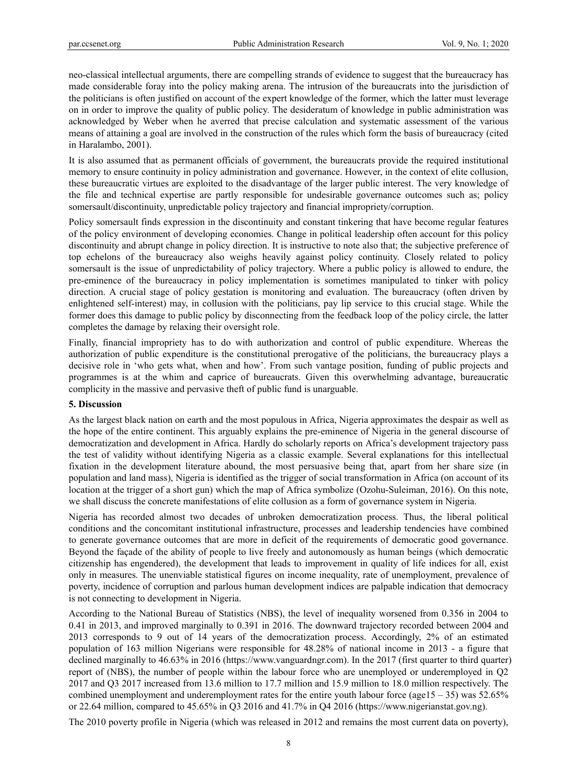neo-classical intellectual arguments, there are compelling strands of evidence to suggest that the bureaucracy has made considerable foray into the policy making arena. The intrusion of the bureaucrats into the jurisdiction of the politicians is often justified on account of the expert knowledge of the former, which the latter must leverage on in order to improve the quality of public policy. The desideratum of knowledge in public administration was acknowledged by Weber when he averred that precise calculation and systematic assessment of the various means of attaining a goal are involved in the construction of the rules which form the basis of bureaucracy (cited in Haralambo, 2001).

It is also assumed that as permanent officials of government, the bureaucrats provide the required institutional memory to ensure continuity in policy administration and governance. However, in the context of elite collusion, these bureaucratic virtues are exploited to the disadvantage of the larger public interest. The very knowledge of the file and technical expertise are partly responsible for undesirable governance outcomes such as; policy somersault/discontinuity, unpredictable policy trajectory and financial impropriety/corruption.

Policy somersault finds expression in the discontinuity and constant tinkering that have become regular features of the policy environment of developing economies. Change in political leadership often account for this policy discontinuity and abrupt change in policy direction. It is instructive to note also that; the subjective preference of top echelons of the bureaucracy also weighs heavily against policy continuity. Closely related to policy somersault is the issue of unpredictability of policy trajectory. Where a public policy is allowed to endure, the pre-eminence of the bureaucracy in policy implementation is sometimes manipulated to tinker with policy direction. A crucial stage of policy gestation is monitoring and evaluation. The bureaucracy (often driven by enlightened self-interest) may, in collusion with the politicians, pay lip service to this crucial stage. While the former does this damage to public policy by disconnecting from the feedback loop of the policy circle, the latter completes the damage by relaxing their oversight role.

Finally, financial impropriety has to do with authorization and control of public expenditure. Whereas the authorization of public expenditure is the constitutional prerogative of the politicians, the bureaucracy plays a decisive role in 'who gets what, when and how'. From such vantage position, funding of public projects and programmes is at the whim and caprice of bureaucrats. Given this overwhelming advantage, bureaucratic complicity in the massive and pervasive theft of public fund is unarguable.

#### **5. Discussion**

As the largest black nation on earth and the most populous in Africa, Nigeria approximates the despair as well as the hope of the entire continent. This arguably explains the pre-eminence of Nigeria in the general discourse of democratization and development in Africa. Hardly do scholarly reports on Africa's development trajectory pass the test of validity without identifying Nigeria as a classic example. Several explanations for this intellectual fixation in the development literature abound, the most persuasive being that, apart from her share size (in population and land mass), Nigeria is identified as the trigger of social transformation in Africa (on account of its location at the trigger of a short gun) which the map of Africa symbolize (Ozohu-Suleiman, 2016). On this note, we shall discuss the concrete manifestations of elite collusion as a form of governance system in Nigeria.

Nigeria has recorded almost two decades of unbroken democratization process. Thus, the liberal political conditions and the concomitant institutional infrastructure, processes and leadership tendencies have combined to generate governance outcomes that are more in deficit of the requirements of democratic good governance. Beyond the façade of the ability of people to live freely and autonomously as human beings (which democratic citizenship has engendered), the development that leads to improvement in quality of life indices for all, exist only in measures. The unenviable statistical figures on income inequality, rate of unemployment, prevalence of poverty, incidence of corruption and parlous human development indices are palpable indication that democracy is not connecting to development in Nigeria.

According to the National Bureau of Statistics (NBS), the level of inequality worsened from 0.356 in 2004 to 0.41 in 2013, and improved marginally to 0.391 in 2016. The downward trajectory recorded between 2004 and 2013 corresponds to 9 out of 14 years of the democratization process. Accordingly, 2% of an estimated population of 163 million Nigerians were responsible for 48.28% of national income in 2013 - a figure that declined marginally to 46.63% in 2016 (https://www.vanguardngr.com). In the 2017 (first quarter to third quarter) report of (NBS), the number of people within the labour force who are unemployed or underemployed in Q2 2017 and Q3 2017 increased from 13.6 million to 17.7 million and 15.9 million to 18.0 million respectively. The combined unemployment and underemployment rates for the entire youth labour force (age15 – 35) was  $52.65\%$ or 22.64 million, compared to 45.65% in Q3 2016 and 41.7% in Q4 2016 (https://www.nigerianstat.gov.ng).

The 2010 poverty profile in Nigeria (which was released in 2012 and remains the most current data on poverty),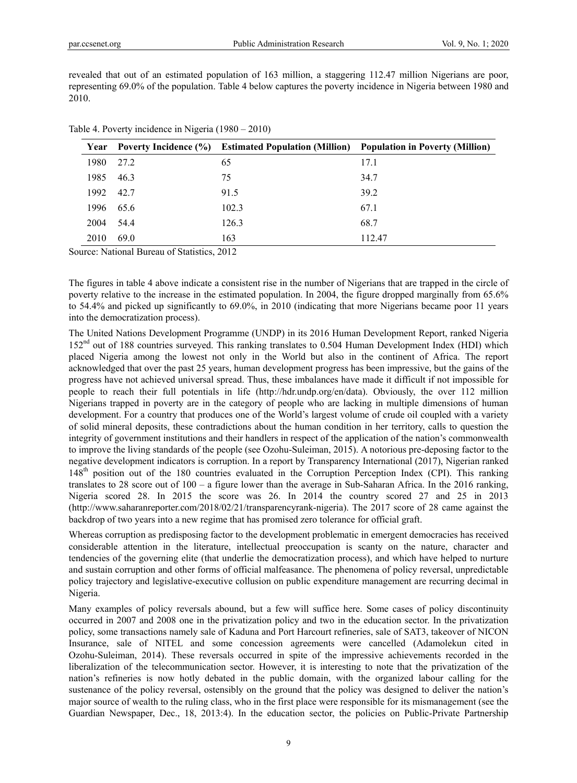revealed that out of an estimated population of 163 million, a staggering 112.47 million Nigerians are poor, representing 69.0% of the population. Table 4 below captures the poverty incidence in Nigeria between 1980 and 2010.

| Year |      | Poverty Incidence (%) Estimated Population (Million) Population in Poverty (Million) |        |
|------|------|--------------------------------------------------------------------------------------|--------|
| 1980 | 27.2 | 65                                                                                   | 17.1   |
| 1985 | 46.3 | 75                                                                                   | 34.7   |
| 1992 | 42.7 | 91.5                                                                                 | 39.2   |
| 1996 | 65.6 | 102.3                                                                                | 67.1   |
| 2004 | 54.4 | 126.3                                                                                | 68.7   |
| 2010 | 69.0 | 163                                                                                  | 112.47 |

|  |  | Table 4. Poverty incidence in Nigeria $(1980 - 2010)$ |
|--|--|-------------------------------------------------------|
|  |  |                                                       |

Source: National Bureau of Statistics, 2012

The figures in table 4 above indicate a consistent rise in the number of Nigerians that are trapped in the circle of poverty relative to the increase in the estimated population. In 2004, the figure dropped marginally from 65.6% to 54.4% and picked up significantly to 69.0%, in 2010 (indicating that more Nigerians became poor 11 years into the democratization process).

The United Nations Development Programme (UNDP) in its 2016 Human Development Report, ranked Nigeria 152nd out of 188 countries surveyed. This ranking translates to 0.504 Human Development Index (HDI) which placed Nigeria among the lowest not only in the World but also in the continent of Africa. The report acknowledged that over the past 25 years, human development progress has been impressive, but the gains of the progress have not achieved universal spread. Thus, these imbalances have made it difficult if not impossible for people to reach their full potentials in life (http://hdr.undp.org/en/data). Obviously, the over 112 million Nigerians trapped in poverty are in the category of people who are lacking in multiple dimensions of human development. For a country that produces one of the World's largest volume of crude oil coupled with a variety of solid mineral deposits, these contradictions about the human condition in her territory, calls to question the integrity of government institutions and their handlers in respect of the application of the nation's commonwealth to improve the living standards of the people (see Ozohu-Suleiman, 2015). A notorious pre-deposing factor to the negative development indicators is corruption. In a report by Transparency International (2017), Nigerian ranked 148th position out of the 180 countries evaluated in the Corruption Perception Index (CPI). This ranking translates to 28 score out of 100 – a figure lower than the average in Sub-Saharan Africa. In the 2016 ranking, Nigeria scored 28. In 2015 the score was 26. In 2014 the country scored 27 and 25 in 2013 (http://www.saharanreporter.com/2018/02/21/transparencyrank-nigeria). The 2017 score of 28 came against the backdrop of two years into a new regime that has promised zero tolerance for official graft.

Whereas corruption as predisposing factor to the development problematic in emergent democracies has received considerable attention in the literature, intellectual preoccupation is scanty on the nature, character and tendencies of the governing elite (that underlie the democratization process), and which have helped to nurture and sustain corruption and other forms of official malfeasance. The phenomena of policy reversal, unpredictable policy trajectory and legislative-executive collusion on public expenditure management are recurring decimal in Nigeria.

Many examples of policy reversals abound, but a few will suffice here. Some cases of policy discontinuity occurred in 2007 and 2008 one in the privatization policy and two in the education sector. In the privatization policy, some transactions namely sale of Kaduna and Port Harcourt refineries, sale of SAT3, takeover of NICON Insurance, sale of NITEL and some concession agreements were cancelled (Adamolekun cited in Ozohu-Suleiman, 2014). These reversals occurred in spite of the impressive achievements recorded in the liberalization of the telecommunication sector. However, it is interesting to note that the privatization of the nation's refineries is now hotly debated in the public domain, with the organized labour calling for the sustenance of the policy reversal, ostensibly on the ground that the policy was designed to deliver the nation's major source of wealth to the ruling class, who in the first place were responsible for its mismanagement (see the Guardian Newspaper, Dec., 18, 2013:4). In the education sector, the policies on Public-Private Partnership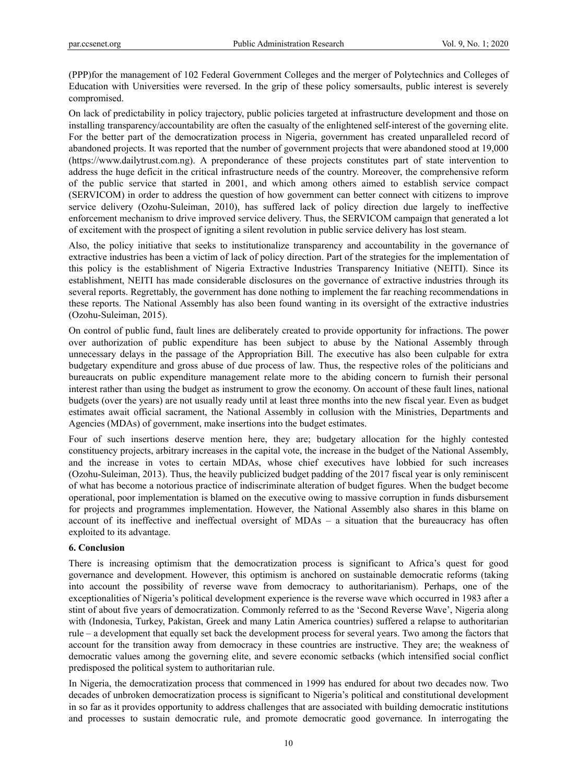(PPP)for the management of 102 Federal Government Colleges and the merger of Polytechnics and Colleges of Education with Universities were reversed. In the grip of these policy somersaults, public interest is severely compromised.

On lack of predictability in policy trajectory, public policies targeted at infrastructure development and those on installing transparency/accountability are often the casualty of the enlightened self-interest of the governing elite. For the better part of the democratization process in Nigeria, government has created unparalleled record of abandoned projects. It was reported that the number of government projects that were abandoned stood at 19,000 (https://www.dailytrust.com.ng). A preponderance of these projects constitutes part of state intervention to address the huge deficit in the critical infrastructure needs of the country. Moreover, the comprehensive reform of the public service that started in 2001, and which among others aimed to establish service compact (SERVICOM) in order to address the question of how government can better connect with citizens to improve service delivery (Ozohu-Suleiman, 2010), has suffered lack of policy direction due largely to ineffective enforcement mechanism to drive improved service delivery. Thus, the SERVICOM campaign that generated a lot of excitement with the prospect of igniting a silent revolution in public service delivery has lost steam.

Also, the policy initiative that seeks to institutionalize transparency and accountability in the governance of extractive industries has been a victim of lack of policy direction. Part of the strategies for the implementation of this policy is the establishment of Nigeria Extractive Industries Transparency Initiative (NEITI). Since its establishment, NEITI has made considerable disclosures on the governance of extractive industries through its several reports. Regrettably, the government has done nothing to implement the far reaching recommendations in these reports. The National Assembly has also been found wanting in its oversight of the extractive industries (Ozohu-Suleiman, 2015).

On control of public fund, fault lines are deliberately created to provide opportunity for infractions. The power over authorization of public expenditure has been subject to abuse by the National Assembly through unnecessary delays in the passage of the Appropriation Bill. The executive has also been culpable for extra budgetary expenditure and gross abuse of due process of law. Thus, the respective roles of the politicians and bureaucrats on public expenditure management relate more to the abiding concern to furnish their personal interest rather than using the budget as instrument to grow the economy. On account of these fault lines, national budgets (over the years) are not usually ready until at least three months into the new fiscal year. Even as budget estimates await official sacrament, the National Assembly in collusion with the Ministries, Departments and Agencies (MDAs) of government, make insertions into the budget estimates.

Four of such insertions deserve mention here, they are; budgetary allocation for the highly contested constituency projects, arbitrary increases in the capital vote, the increase in the budget of the National Assembly, and the increase in votes to certain MDAs, whose chief executives have lobbied for such increases (Ozohu-Suleiman, 2013). Thus, the heavily publicized budget padding of the 2017 fiscal year is only reminiscent of what has become a notorious practice of indiscriminate alteration of budget figures. When the budget become operational, poor implementation is blamed on the executive owing to massive corruption in funds disbursement for projects and programmes implementation. However, the National Assembly also shares in this blame on account of its ineffective and ineffectual oversight of MDAs – a situation that the bureaucracy has often exploited to its advantage.

## **6. Conclusion**

There is increasing optimism that the democratization process is significant to Africa's quest for good governance and development. However, this optimism is anchored on sustainable democratic reforms (taking into account the possibility of reverse wave from democracy to authoritarianism). Perhaps, one of the exceptionalities of Nigeria's political development experience is the reverse wave which occurred in 1983 after a stint of about five years of democratization. Commonly referred to as the 'Second Reverse Wave', Nigeria along with (Indonesia, Turkey, Pakistan, Greek and many Latin America countries) suffered a relapse to authoritarian rule – a development that equally set back the development process for several years. Two among the factors that account for the transition away from democracy in these countries are instructive. They are; the weakness of democratic values among the governing elite, and severe economic setbacks (which intensified social conflict predisposed the political system to authoritarian rule.

In Nigeria, the democratization process that commenced in 1999 has endured for about two decades now. Two decades of unbroken democratization process is significant to Nigeria's political and constitutional development in so far as it provides opportunity to address challenges that are associated with building democratic institutions and processes to sustain democratic rule, and promote democratic good governance. In interrogating the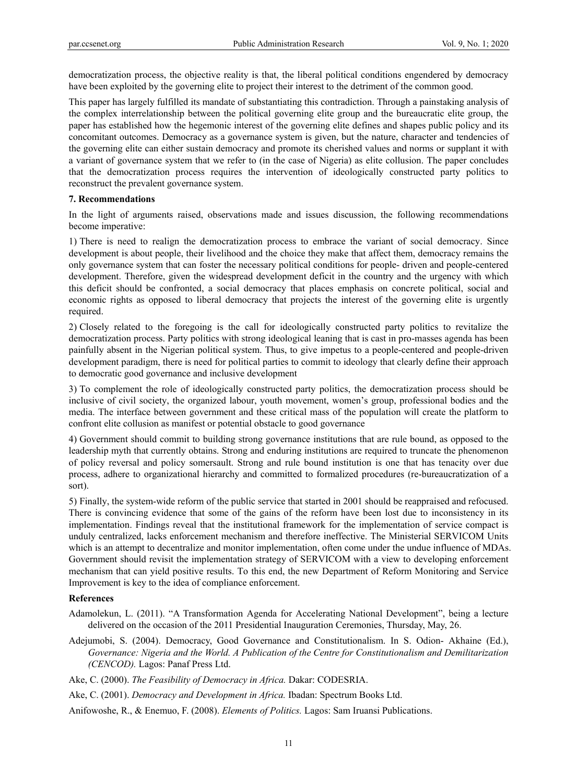democratization process, the objective reality is that, the liberal political conditions engendered by democracy have been exploited by the governing elite to project their interest to the detriment of the common good.

This paper has largely fulfilled its mandate of substantiating this contradiction. Through a painstaking analysis of the complex interrelationship between the political governing elite group and the bureaucratic elite group, the paper has established how the hegemonic interest of the governing elite defines and shapes public policy and its concomitant outcomes. Democracy as a governance system is given, but the nature, character and tendencies of the governing elite can either sustain democracy and promote its cherished values and norms or supplant it with a variant of governance system that we refer to (in the case of Nigeria) as elite collusion. The paper concludes that the democratization process requires the intervention of ideologically constructed party politics to reconstruct the prevalent governance system.

#### **7. Recommendations**

In the light of arguments raised, observations made and issues discussion, the following recommendations become imperative:

1) There is need to realign the democratization process to embrace the variant of social democracy. Since development is about people, their livelihood and the choice they make that affect them, democracy remains the only governance system that can foster the necessary political conditions for people- driven and people-centered development. Therefore, given the widespread development deficit in the country and the urgency with which this deficit should be confronted, a social democracy that places emphasis on concrete political, social and economic rights as opposed to liberal democracy that projects the interest of the governing elite is urgently required.

2) Closely related to the foregoing is the call for ideologically constructed party politics to revitalize the democratization process. Party politics with strong ideological leaning that is cast in pro-masses agenda has been painfully absent in the Nigerian political system. Thus, to give impetus to a people-centered and people-driven development paradigm, there is need for political parties to commit to ideology that clearly define their approach to democratic good governance and inclusive development

3) To complement the role of ideologically constructed party politics, the democratization process should be inclusive of civil society, the organized labour, youth movement, women's group, professional bodies and the media. The interface between government and these critical mass of the population will create the platform to confront elite collusion as manifest or potential obstacle to good governance

4) Government should commit to building strong governance institutions that are rule bound, as opposed to the leadership myth that currently obtains. Strong and enduring institutions are required to truncate the phenomenon of policy reversal and policy somersault. Strong and rule bound institution is one that has tenacity over due process, adhere to organizational hierarchy and committed to formalized procedures (re-bureaucratization of a sort).

5) Finally, the system-wide reform of the public service that started in 2001 should be reappraised and refocused. There is convincing evidence that some of the gains of the reform have been lost due to inconsistency in its implementation. Findings reveal that the institutional framework for the implementation of service compact is unduly centralized, lacks enforcement mechanism and therefore ineffective. The Ministerial SERVICOM Units which is an attempt to decentralize and monitor implementation, often come under the undue influence of MDAs. Government should revisit the implementation strategy of SERVICOM with a view to developing enforcement mechanism that can yield positive results. To this end, the new Department of Reform Monitoring and Service Improvement is key to the idea of compliance enforcement.

#### **References**

Adamolekun, L. (2011). "A Transformation Agenda for Accelerating National Development", being a lecture delivered on the occasion of the 2011 Presidential Inauguration Ceremonies, Thursday, May, 26.

Adejumobi, S. (2004). Democracy, Good Governance and Constitutionalism. In S. Odion- Akhaine (Ed.), *Governance: Nigeria and the World. A Publication of the Centre for Constitutionalism and Demilitarization (CENCOD).* Lagos: Panaf Press Ltd.

Ake, C. (2000). *The Feasibility of Democracy in Africa.* Dakar: CODESRIA.

Ake, C. (2001). *Democracy and Development in Africa.* Ibadan: Spectrum Books Ltd.

Anifowoshe, R., & Enemuo, F. (2008). *Elements of Politics.* Lagos: Sam Iruansi Publications.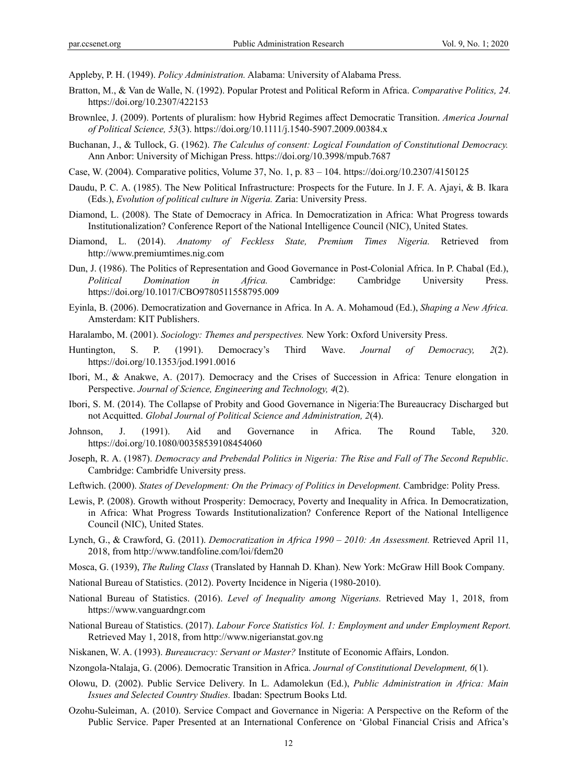Appleby, P. H. (1949). *Policy Administration.* Alabama: University of Alabama Press.

- Bratton, M., & Van de Walle, N. (1992). Popular Protest and Political Reform in Africa. *Comparative Politics, 24.* https://doi.org/10.2307/422153
- Brownlee, J. (2009). Portents of pluralism: how Hybrid Regimes affect Democratic Transition. *America Journal of Political Science, 53*(3). https://doi.org/10.1111/j.1540-5907.2009.00384.x
- Buchanan, J., & Tullock, G. (1962). *The Calculus of consent: Logical Foundation of Constitutional Democracy.*  Ann Anbor: University of Michigan Press. https://doi.org/10.3998/mpub.7687
- Case, W. (2004). Comparative politics, Volume 37, No. 1, p. 83 104. https://doi.org/10.2307/4150125
- Daudu, P. C. A. (1985). The New Political Infrastructure: Prospects for the Future. In J. F. A. Ajayi, & B. Ikara (Eds.), *Evolution of political culture in Nigeria.* Zaria: University Press.
- Diamond, L. (2008). The State of Democracy in Africa. In Democratization in Africa: What Progress towards Institutionalization? Conference Report of the National Intelligence Council (NIC), United States.
- Diamond, L. (2014). *Anatomy of Feckless State, Premium Times Nigeria.* Retrieved from http://www.premiumtimes.nig.com
- Dun, J. (1986). The Politics of Representation and Good Governance in Post-Colonial Africa. In P. Chabal (Ed.), *Political Domination in Africa.* Cambridge: Cambridge University Press. https://doi.org/10.1017/CBO9780511558795.009
- Eyinla, B. (2006). Democratization and Governance in Africa. In A. A. Mohamoud (Ed.), *Shaping a New Africa.*  Amsterdam: KIT Publishers.
- Haralambo, M. (2001). *Sociology: Themes and perspectives.* New York: Oxford University Press.
- Huntington, S. P. (1991). Democracy's Third Wave. *Journal of Democracy, 2*(2). https://doi.org/10.1353/jod.1991.0016
- Ibori, M., & Anakwe, A. (2017). Democracy and the Crises of Succession in Africa: Tenure elongation in Perspective. *Journal of Science, Engineering and Technology, 4*(2).
- Ibori, S. M. (2014). The Collapse of Probity and Good Governance in Nigeria:The Bureaucracy Discharged but not Acquitted. *Global Journal of Political Science and Administration, 2*(4).
- Johnson, J. (1991). Aid and Governance in Africa. The Round Table, 320. https://doi.org/10.1080/00358539108454060
- Joseph, R. A. (1987). *Democracy and Prebendal Politics in Nigeria: The Rise and Fall of The Second Republic*. Cambridge: Cambridfe University press.
- Leftwich. (2000). *States of Development: On the Primacy of Politics in Development.* Cambridge: Polity Press.
- Lewis, P. (2008). Growth without Prosperity: Democracy, Poverty and Inequality in Africa. In Democratization, in Africa: What Progress Towards Institutionalization? Conference Report of the National Intelligence Council (NIC), United States.
- Lynch, G., & Crawford, G. (2011). *Democratization in Africa 1990 2010: An Assessment.* Retrieved April 11, 2018, from http://www.tandfoline.com/loi/fdem20
- Mosca, G. (1939), *The Ruling Class* (Translated by Hannah D. Khan). New York: McGraw Hill Book Company.
- National Bureau of Statistics. (2012). Poverty Incidence in Nigeria (1980-2010).
- National Bureau of Statistics. (2016). *Level of Inequality among Nigerians.* Retrieved May 1, 2018, from https://www.vanguardngr.com
- National Bureau of Statistics. (2017). *Labour Force Statistics Vol. 1: Employment and under Employment Report.*  Retrieved May 1, 2018, from http://www.nigerianstat.gov.ng
- Niskanen, W. A. (1993). *Bureaucracy: Servant or Master?* Institute of Economic Affairs, London.
- Nzongola-Ntalaja, G. (2006). Democratic Transition in Africa. *Journal of Constitutional Development, 6*(1).
- Olowu, D. (2002). Public Service Delivery. In L. Adamolekun (Ed.), *Public Administration in Africa: Main Issues and Selected Country Studies.* Ibadan: Spectrum Books Ltd.
- Ozohu-Suleiman, A. (2010). Service Compact and Governance in Nigeria: A Perspective on the Reform of the Public Service. Paper Presented at an International Conference on 'Global Financial Crisis and Africa's